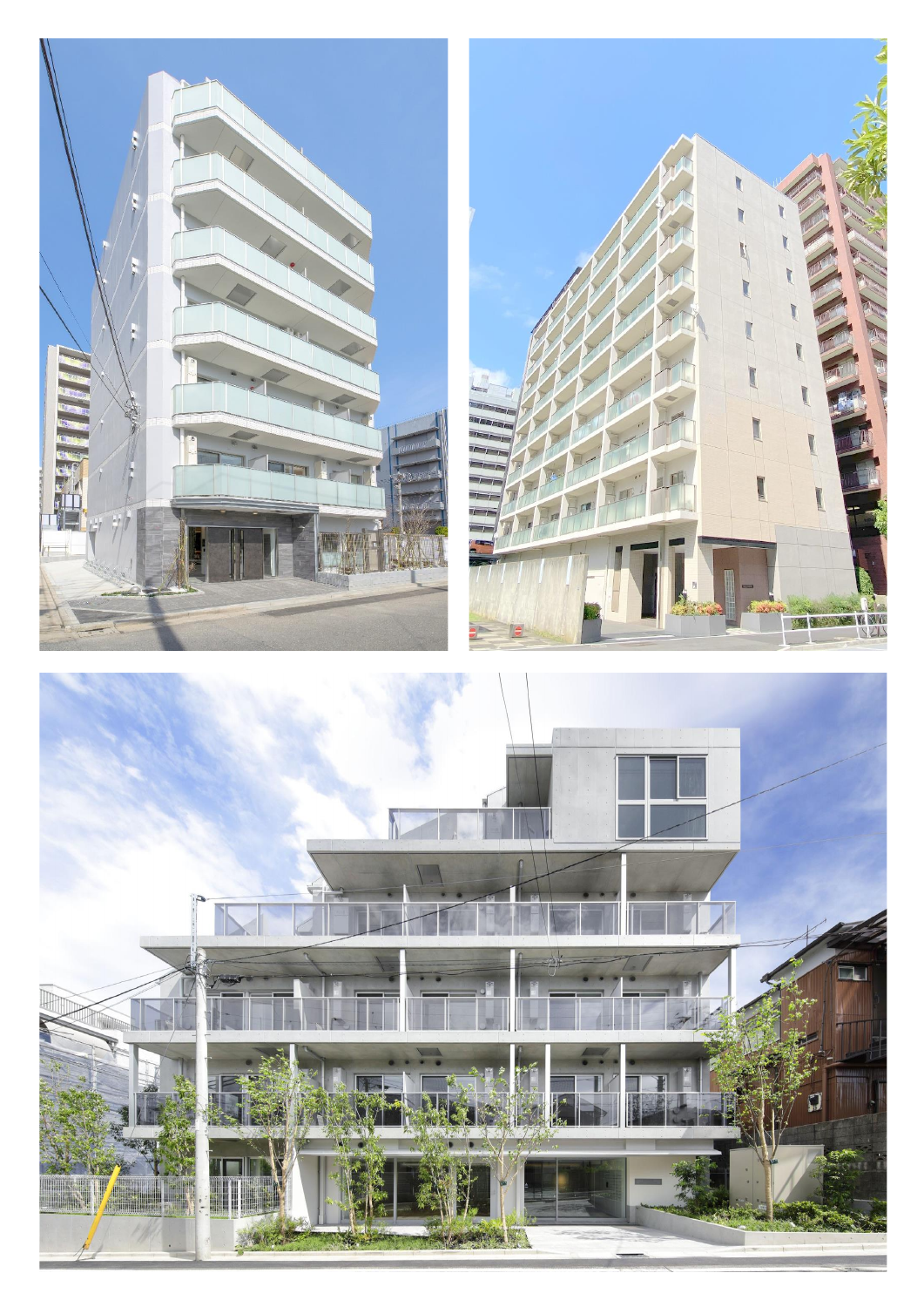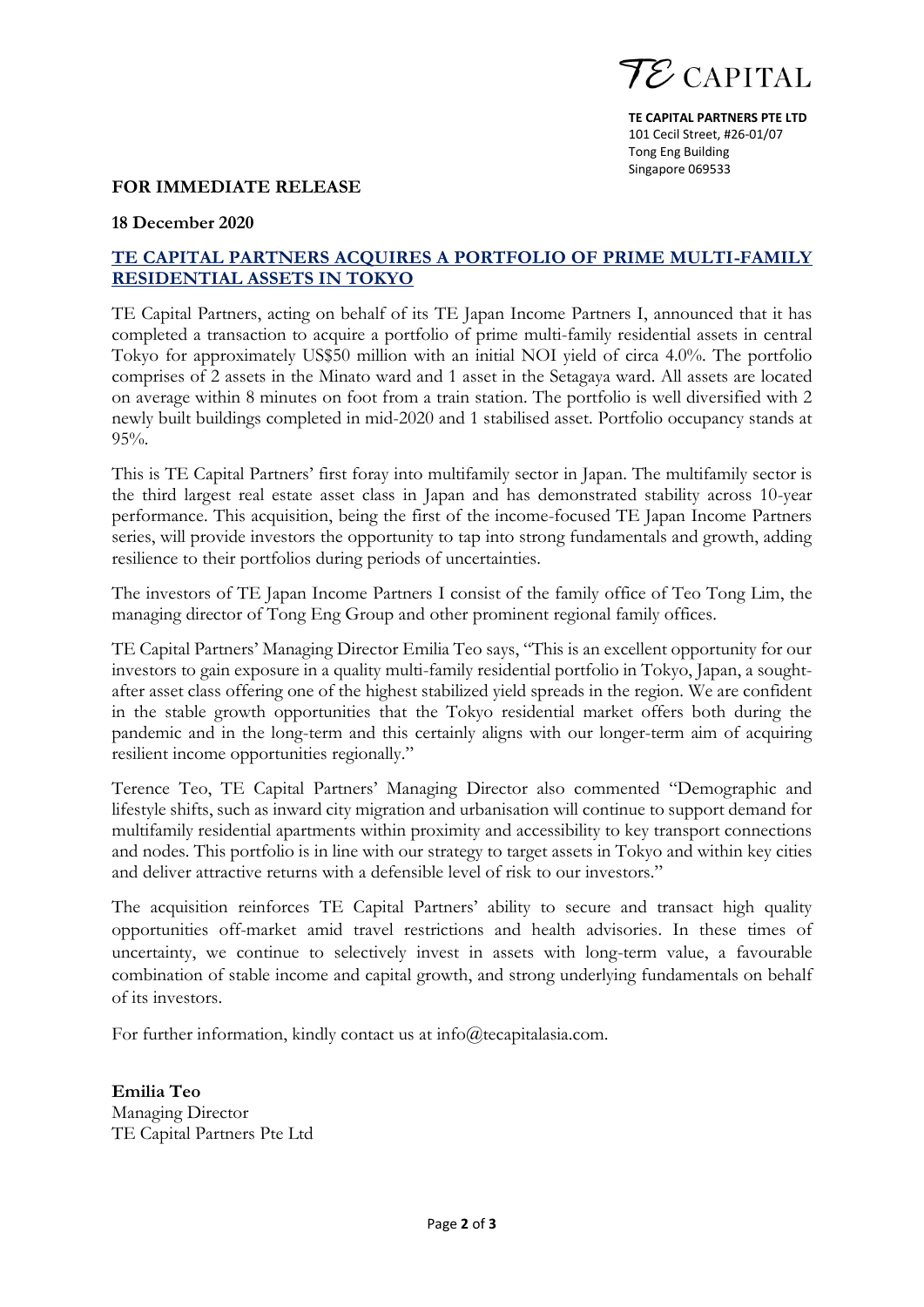**TE** CAPITAL

**TE CAPITAL PARTNERS PTE LTD** 101 Cecil Street, #26-01/07 Tong Eng Building Singapore 069533

# **FOR IMMEDIATE RELEASE**

#### **18 December 2020**

# **TE CAPITAL PARTNERS ACQUIRES A PORTFOLIO OF PRIME MULTI-FAMILY RESIDENTIAL ASSETS IN TOKYO**

TE Capital Partners, acting on behalf of its TE Japan Income Partners I, announced that it has completed a transaction to acquire a portfolio of prime multi-family residential assets in central Tokyo for approximately US\$50 million with an initial NOI yield of circa 4.0%. The portfolio comprises of 2 assets in the Minato ward and 1 asset in the Setagaya ward. All assets are located on average within 8 minutes on foot from a train station. The portfolio is well diversified with 2 newly built buildings completed in mid-2020 and 1 stabilised asset. Portfolio occupancy stands at 95%.

This is TE Capital Partners' first foray into multifamily sector in Japan. The multifamily sector is the third largest real estate asset class in Japan and has demonstrated stability across 10-year performance. This acquisition, being the first of the income-focused TE Japan Income Partners series, will provide investors the opportunity to tap into strong fundamentals and growth, adding resilience to their portfolios during periods of uncertainties.

The investors of TE Japan Income Partners I consist of the family office of Teo Tong Lim, the managing director of Tong Eng Group and other prominent regional family offices.

TE Capital Partners' Managing Director Emilia Teo says, "This is an excellent opportunity for our investors to gain exposure in a quality multi-family residential portfolio in Tokyo, Japan, a soughtafter asset class offering one of the highest stabilized yield spreads in the region. We are confident in the stable growth opportunities that the Tokyo residential market offers both during the pandemic and in the long-term and this certainly aligns with our longer-term aim of acquiring resilient income opportunities regionally."

Terence Teo, TE Capital Partners' Managing Director also commented "Demographic and lifestyle shifts, such as inward city migration and urbanisation will continue to support demand for multifamily residential apartments within proximity and accessibility to key transport connections and nodes. This portfolio is in line with our strategy to target assets in Tokyo and within key cities and deliver attractive returns with a defensible level of risk to our investors."

The acquisition reinforces TE Capital Partners' ability to secure and transact high quality opportunities off-market amid travel restrictions and health advisories. In these times of uncertainty, we continue to selectively invest in assets with long-term value, a favourable combination of stable income and capital growth, and strong underlying fundamentals on behalf of its investors.

For further information, kindly contact us at info@tecapitalasia.com.

**Emilia Teo** Managing Director TE Capital Partners Pte Ltd